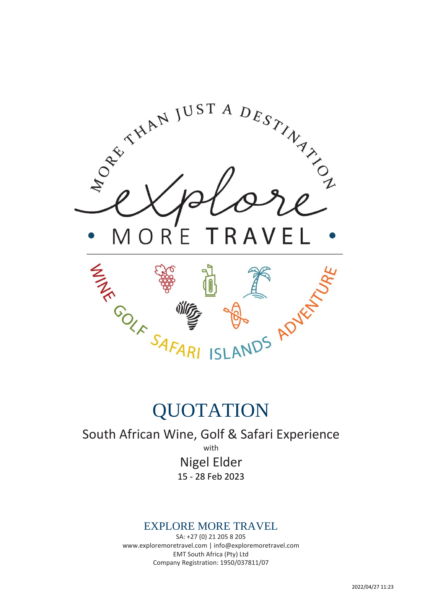

# QUOTATION

South African Wine, Golf & Safari Experience

with

Nigel Elder 15 - 28 Feb 2023

# EXPLORE MORE TRAVEL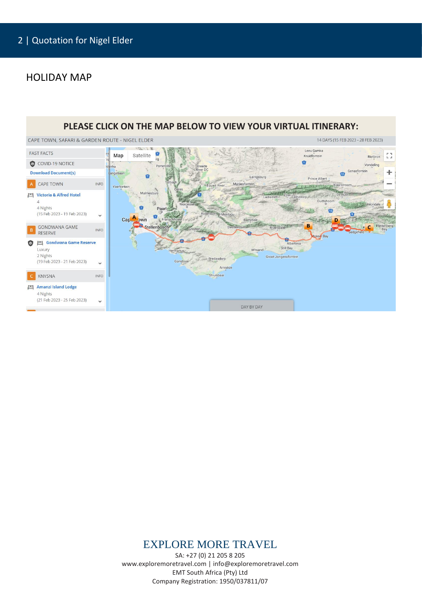#### HOLIDAY MAP



### EXPLORE MORE TRAVEL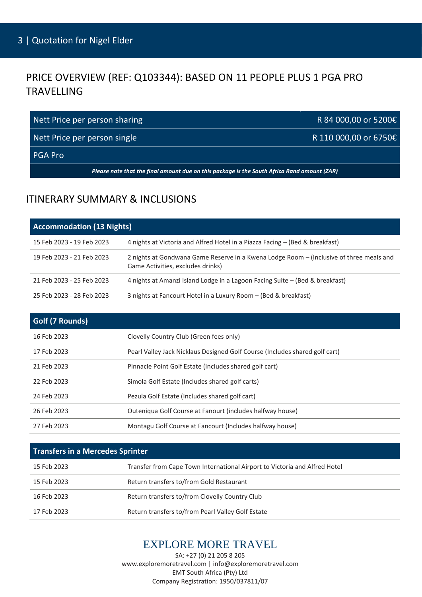# PRICE OVERVIEW (REF: Q103344): BASED ON 11 PEOPLE PLUS 1 PGA PRO TRAVELLING

| Nett Price per person sharing | R 84 000,00 or 5200€  |
|-------------------------------|-----------------------|
| Nett Price per person single  | R 110 000,00 or 6750€ |
| I PGA Pro                     |                       |

*Please note that the final amount due on this package is the South Africa Rand amount (ZAR)*

### ITINERARY SUMMARY & INCLUSIONS

| <b>Accommodation (13 Nights)</b> |                                                                                                                              |
|----------------------------------|------------------------------------------------------------------------------------------------------------------------------|
| 15 Feb 2023 - 19 Feb 2023        | 4 nights at Victoria and Alfred Hotel in a Piazza Facing – (Bed & breakfast)                                                 |
| 19 Feb 2023 - 21 Feb 2023        | 2 nights at Gondwana Game Reserve in a Kwena Lodge Room - (Inclusive of three meals and<br>Game Activities, excludes drinks) |
| 21 Feb 2023 - 25 Feb 2023        | 4 nights at Amanzi Island Lodge in a Lagoon Facing Suite - (Bed & breakfast)                                                 |
| 25 Feb 2023 - 28 Feb 2023        | 3 nights at Fancourt Hotel in a Luxury Room - (Bed & breakfast)                                                              |

| Golf (7 Rounds) |                                                                             |
|-----------------|-----------------------------------------------------------------------------|
| 16 Feb 2023     | Clovelly Country Club (Green fees only)                                     |
| 17 Feb 2023     | Pearl Valley Jack Nicklaus Designed Golf Course (Includes shared golf cart) |
| 21 Feb 2023     | Pinnacle Point Golf Estate (Includes shared golf cart)                      |
| 22 Feb 2023     | Simola Golf Estate (Includes shared golf carts)                             |
| 24 Feb 2023     | Pezula Golf Estate (Includes shared golf cart)                              |
| 26 Feb 2023     | Outeniqua Golf Course at Fanourt (includes halfway house)                   |
| 27 Feb 2023     | Montagu Golf Course at Fancourt (Includes halfway house)                    |

| Transfers in a Mercedes Sprinter |                                                                            |
|----------------------------------|----------------------------------------------------------------------------|
| 15 Feb 2023                      | Transfer from Cape Town International Airport to Victoria and Alfred Hotel |
| 15 Feb 2023                      | Return transfers to/from Gold Restaurant                                   |
| 16 Feb 2023                      | Return transfers to/from Clovelly Country Club                             |
| 17 Feb 2023                      | Return transfers to/from Pearl Valley Golf Estate                          |

### EXPLORE MORE TRAVEL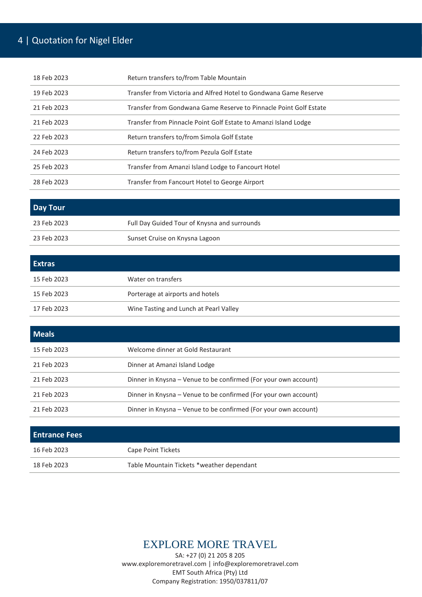# 4 | Quotation for Nigel Elder

| 18 Feb 2023 | Return transfers to/from Table Mountain                           |
|-------------|-------------------------------------------------------------------|
| 19 Feb 2023 | Transfer from Victoria and Alfred Hotel to Gondwana Game Reserve  |
| 21 Feb 2023 | Transfer from Gondwana Game Reserve to Pinnacle Point Golf Estate |
| 21 Feb 2023 | Transfer from Pinnacle Point Golf Estate to Amanzi Island Lodge   |
| 22 Feb 2023 | Return transfers to/from Simola Golf Estate                       |
| 24 Feb 2023 | Return transfers to/from Pezula Golf Estate                       |
| 25 Feb 2023 | Transfer from Amanzi Island Lodge to Fancourt Hotel               |
| 28 Feb 2023 | Transfer from Fancourt Hotel to George Airport                    |

| Day Tour    |                                              |
|-------------|----------------------------------------------|
| 23 Feb 2023 | Full Day Guided Tour of Knysna and surrounds |
| 23 Feb 2023 | Sunset Cruise on Knysna Lagoon               |

| <b>Extras</b> |                                        |
|---------------|----------------------------------------|
| 15 Feb 2023   | Water on transfers                     |
| 15 Feb 2023   | Porterage at airports and hotels       |
| 17 Feb 2023   | Wine Tasting and Lunch at Pearl Valley |

| <b>Meals</b> |                                                                 |
|--------------|-----------------------------------------------------------------|
| 15 Feb 2023  | Welcome dinner at Gold Restaurant                               |
| 21 Feb 2023  | Dinner at Amanzi Island Lodge                                   |
| 21 Feb 2023  | Dinner in Knysna – Venue to be confirmed (For your own account) |
| 21 Feb 2023  | Dinner in Knysna - Venue to be confirmed (For your own account) |
| 21 Feb 2023  | Dinner in Knysna – Venue to be confirmed (For your own account) |

| <b>Entrance Fees</b> |                                           |
|----------------------|-------------------------------------------|
| 16 Feb 2023          | Cape Point Tickets                        |
| 18 Feb 2023          | Table Mountain Tickets *weather dependant |

# EXPLORE MORE TRAVEL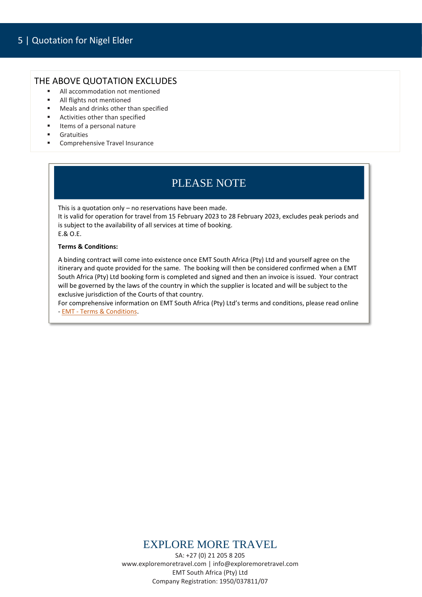#### THE ABOVE QUOTATION EXCLUDES

- All accommodation not mentioned
- All flights not mentioned
- Meals and drinks other than specified
- Activities other than specified
- Items of a personal nature
- **Gratuities**
- Comprehensive Travel Insurance

# PLEASE NOTE

This is a quotation only – no reservations have been made.

It is valid for operation for travel from 15 February 2023 to 28 February 2023, excludes peak periods and is subject to the availability of all services at time of booking. E.& O.E.

#### **Terms & Conditions:**

A binding contract will come into existence once EMT South Africa (Pty) Ltd and yourself agree on the itinerary and quote provided for the same. The booking will then be considered confirmed when a EMT South Africa (Pty) Ltd booking form is completed and signed and then an invoice is issued. Your contract will be governed by the laws of the country in which the supplier is located and will be subject to the exclusive jurisdiction of the Courts of that country.

For comprehensive information on EMT South Africa (Pty) Ltd's terms and conditions, please read online - EMT - [Terms & Conditions.](https://drive.google.com/file/d/1hpOgWivpXbssORNjfCYi17E025GprKBV/view?usp=sharing)

### EXPLORE MORE TRAVEL